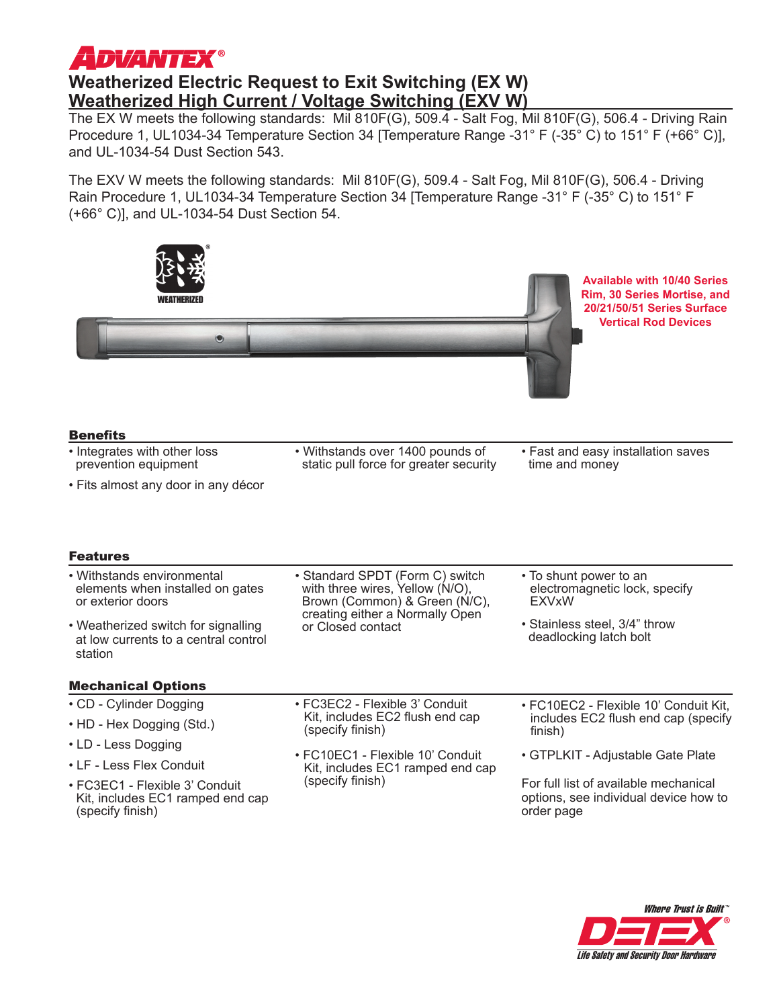# *ADVANTEX®*

## **Weatherized Electric Request to Exit Switching (EX W) Weatherized High Current / Voltage Switching (EXV W)**

The EX W meets the following standards: Mil 810F(G), 509.4 - Salt Fog, Mil 810F(G), 506.4 - Driving Rain Procedure 1, UL1034-34 Temperature Section 34 [Temperature Range -31° F (-35° C) to 151° F (+66° C)], and UL-1034-54 Dust Section 543.

The EXV W meets the following standards: Mil 810F(G), 509.4 - Salt Fog, Mil 810F(G), 506.4 - Driving Rain Procedure 1, UL1034-34 Temperature Section 34 [Temperature Range -31° F (-35° C) to 151° F (+66° C)], and UL-1034-54 Dust Section 54.

| $\odot$                                                                                                |                                                                                                                                                             | <b>Available with 10/40 Series</b><br>Rim, 30 Series Mortise, and<br>20/21/50/51 Series Surface<br><b>Vertical Rod Devices</b> |
|--------------------------------------------------------------------------------------------------------|-------------------------------------------------------------------------------------------------------------------------------------------------------------|--------------------------------------------------------------------------------------------------------------------------------|
| <b>Benefits</b>                                                                                        |                                                                                                                                                             |                                                                                                                                |
| • Integrates with other loss<br>prevention equipment                                                   | • Withstands over 1400 pounds of<br>static pull force for greater security                                                                                  | • Fast and easy installation saves<br>time and money                                                                           |
| • Fits almost any door in any décor                                                                    |                                                                                                                                                             |                                                                                                                                |
| <b>Features</b><br>• Withstands environmental<br>elements when installed on gates<br>or exterior doors | • Standard SPDT (Form C) switch<br>with three wires, Yellow (N/O),<br>Brown (Common) & Green (N/C),<br>creating either a Normally Open<br>or Closed contact | • To shunt power to an<br>electromagnetic lock, specify<br><b>EXVxW</b>                                                        |
| • Weatherized switch for signalling<br>at low currents to a central control<br>station                 |                                                                                                                                                             | • Stainless steel, 3/4" throw<br>deadlocking latch bolt                                                                        |
| <b>Mechanical Options</b>                                                                              |                                                                                                                                                             |                                                                                                                                |
| • CD - Cylinder Dogging                                                                                | • FC3EC2 - Flexible 3' Conduit<br>Kit, includes EC2 flush end cap<br>(specify finish)                                                                       | • FC10EC2 - Flexible 10' Conduit Kit.<br>includes EC2 flush end cap (specify<br>finish)                                        |
| • HD - Hex Dogging (Std.)                                                                              |                                                                                                                                                             |                                                                                                                                |
| • LD - Less Dogging                                                                                    | • FC10EC1 - Flexible 10' Conduit<br>Kit, includes EC1 ramped end cap<br>(specify finish)                                                                    | • GTPLKIT - Adjustable Gate Plate                                                                                              |
| • LF - Less Flex Conduit                                                                               |                                                                                                                                                             |                                                                                                                                |
| · FC3EC1 - Flexible 3' Conduit<br>Kit, includes EC1 ramped end cap<br>(specify finish)                 |                                                                                                                                                             | For full list of available mechanical<br>options, see individual device how to<br>order page                                   |